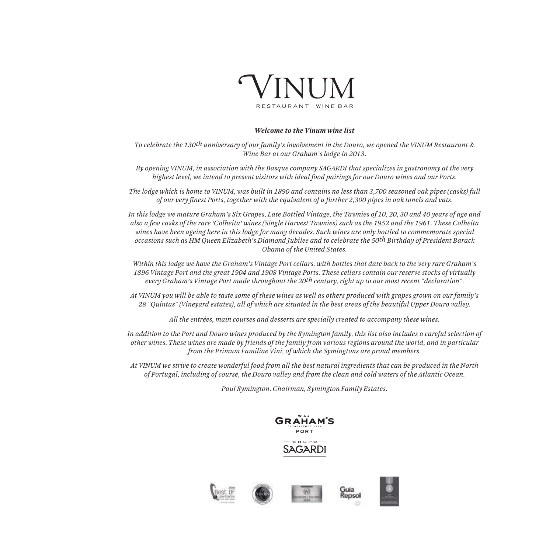

#### *Welcome to the Vinum wine list*

*To celebrate the 130th anniversary of our family's involvement in the Douro, we opened the VINUM Restaurant & Wine Bar at our Graham's lodge in 2013.*

*By opening VINUM, in association with the Basque company SAGARDI that specializes in gastronomy at the very highest level, we intend to present visitors with ideal food pairings for our Douro wines and our Ports.*

*The lodge which is home to VINUM, was built in 1890 and contains no less than 3,700 seasoned oak pipes (casks) full of our very finest Ports, together with the equivalent of a further 2,300 pipes in oak tonels and vats.* 

*In this lodge we mature Graham's Six Grapes, Late Bottled Vintage, the Tawnies of 10, 20, 30 and 40 years of age and also a few casks of the rare 'Colheita' wines (Single Harvest Tawnies) such as the 1952 and the 1961. These Colheita wines have been ageing here in this lodge for many decades. Such wines are only bottled to commemorate special occasions such as HM Queen Elizabeth's Diamond Jubilee and to celebrate the 50th Birthday of President Barack Obama of the United States.*

*Within this lodge we have the Graham's Vintage Port cellars, with bottles that date back to the very rare Graham's 1896 Vintage Port and the great 1904 and 1908 Vintage Ports. These cellars contain our reserve stocks of virtually every Graham's Vintage Port made throughout the 20th century, right up to our most recent "declaration".*

*At VINUM you will be able to taste some of these wines as well as others produced with grapes grown on our family's 28 "Quintas" (Vineyard estates), all of which are situated in the best areas of the beautiful Upper Douro valley.*

*All the entrées, main courses and desserts are specially created to accompany these wines.*

*In addition to the Port and Douro wines produced by the Symington family, this list also includes a careful selection of other wines. These wines are made by friends of the family from various regions around the world, and in particular from the Primum Familiae Vini, of which the Symingtons are proud members.*

*At VINUM we strive to create wonderful food from all the best natural ingredients that can be produced in the North of Portugal, including of course, the Douro valley and from the clean and cold waters of the Atlantic Ocean.*

*Paul Symington. Chairman, Symington Family Estates.*





Guïa<br>Repsol



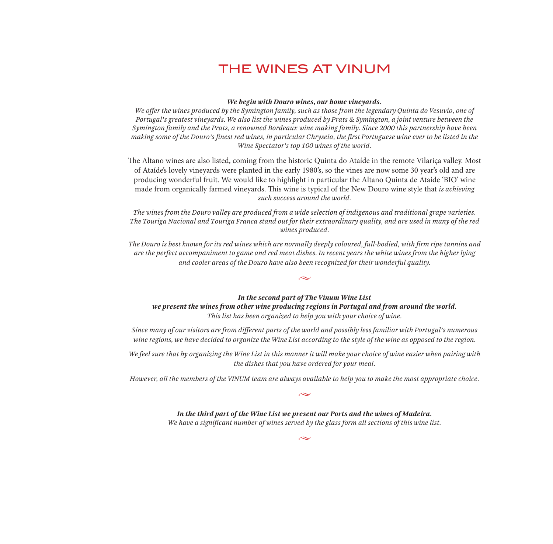# THE WINES AT VINUM

#### *We begin with Douro wines, our home vineyards.*

*We offer the wines produced by the Symington family, such as those from the legendary Quinta do Vesuvio, one of Portugal's greatest vineyards. We also list the wines produced by Prats & Symington, a joint venture between the Symington family and the Prats, a renowned Bordeaux wine making family. Since 2000 this partnership have been making some of the Douro's finest red wines, in particular Chryseia, the first Portuguese wine ever to be listed in the Wine Spectator's top 100 wines of the world.*

The Altano wines are also listed, coming from the historic Quinta do Ataíde in the remote Vilariça valley. Most of Ataíde's lovely vineyards were planted in the early 1980's, so the vines are now some 30 year's old and are producing wonderful fruit. We would like to highlight in particular the Altano Quinta de Ataíde 'BIO' wine made from organically farmed vineyards. This wine is typical of the New Douro wine style that *is achieving such success around the world.*

*The wines from the Douro valley are produced from a wide selection of indigenous and traditional grape varieties. The Touriga Nacional and Touriga Franca stand out for their extraordinary quality, and are used in many of the red wines produced.*

*The Douro is best known for its red wines which are normally deeply coloured, full-bodied, with firm ripe tannins and are the perfect accompaniment to game and red meat dishes. In recent years the white wines from the higher lying and cooler areas of the Douro have also been recognized for their wonderful quality.*

 $\sim$ 

#### *In the second part of The Vinum Wine List*

*we present the wines from other wine producing regions in Portugal and from around the world. This list has been organized to help you with your choice of wine.*

*Since many of our visitors are from different parts of the world and possibly less familiar with Portugal's numerous wine regions, we have decided to organize the Wine List according to the style of the wine as opposed to the region.*

*We feel sure that by organizing the Wine List in this manner it will make your choice of wine easier when pairing with the dishes that you have ordered for your meal.*

*However, all the members of the VINUM team are always available to help you to make the most appropriate choice.*

 $\sim$ 

*In the third part of the Wine List we present our Ports and the wines of Madeira. We have a significant number of wines served by the glass form all sections of this wine list.*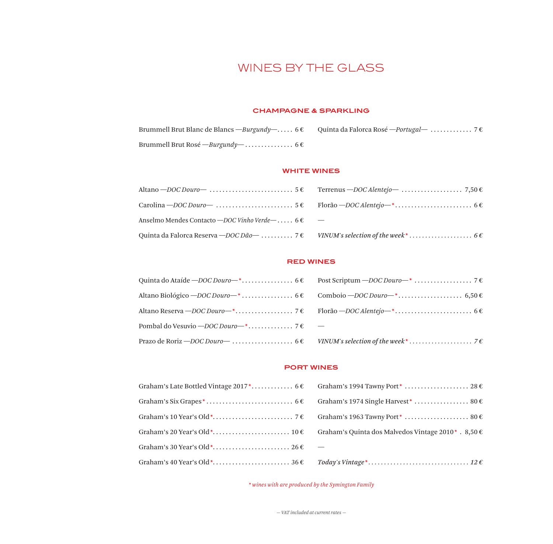# WINES BY THE GLASS

#### **CHAMPAGNE & SPARKLING**

| Brummell Brut Blanc de Blancs — <i>Burgundy</i> — 6 € Quinta da Falorca Rosé — <i>Portugal</i> —  7 € |  |
|-------------------------------------------------------------------------------------------------------|--|
| Brummell Brut Rosé — Burgundy— 6 $\epsilon$                                                           |  |

#### **WHITE WINES**

| Anselmo Mendes Contacto – DOC Vinho Verde – $6 \in$ – |  |
|-------------------------------------------------------|--|
|                                                       |  |

#### **RED WINES**

#### **PORT WINES**

| Graham's Quinta dos Malvedos Vintage 2010*. 8,50 € |
|----------------------------------------------------|
|                                                    |
|                                                    |

*\* wines with are produced by the Symington Family*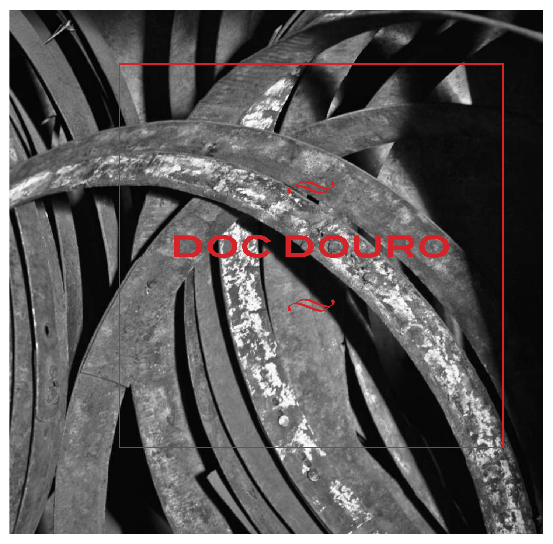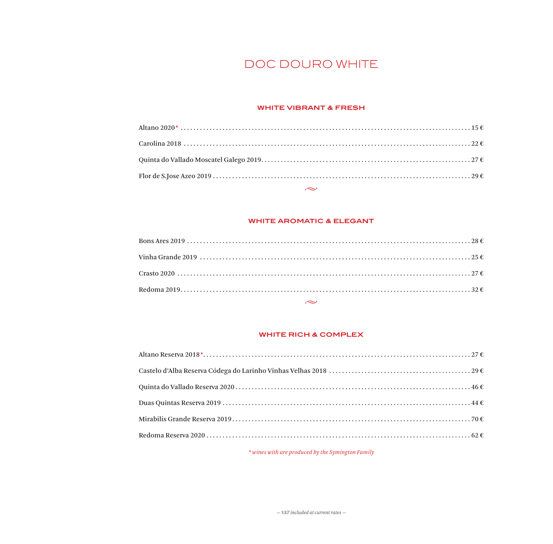# DOC DOURO WHITE

#### **WHITE VIBRANT & FRESH**

# **WHITE AROMATIC & ELEGANT**

 $\sim$ 

| $\sim$ $\sim$ |  |
|---------------|--|
|               |  |
|               |  |
|               |  |
|               |  |

#### **WHITE RICH & COMPLEX**

\* wines with are produced by the Symington Family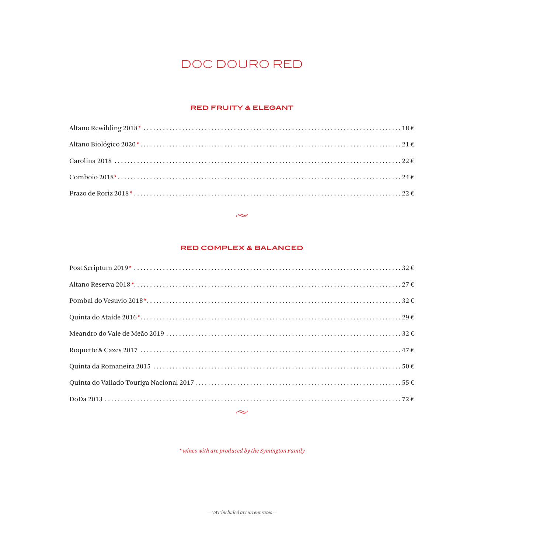# DOC DOURO RED

#### **RED FRUITY & ELEGANT**

#### $\sim$

#### **RED COMPLEX & BALANCED**

 $\displaystyle ^{\ast}$  wines with are produced by the Symington Family

 $-$  VAT included at current rates  $-$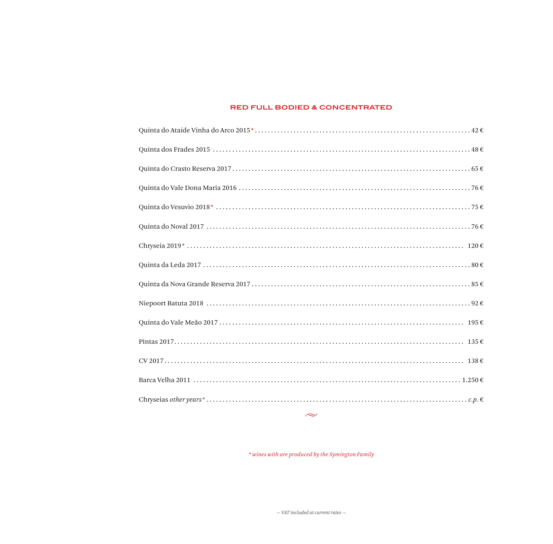#### **RED FULL BODIED & CONCENTRATED**

| $\sim$ |
|--------|
|        |
|        |
|        |
|        |
|        |
|        |
|        |
|        |
|        |
|        |
|        |
|        |
|        |
|        |
|        |

\* wines with are produced by the Symington Family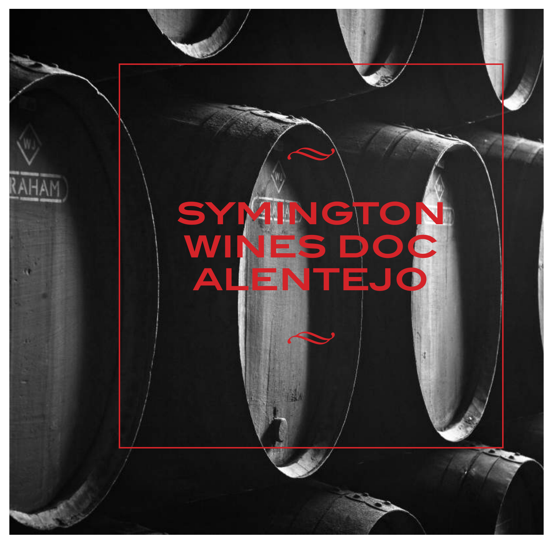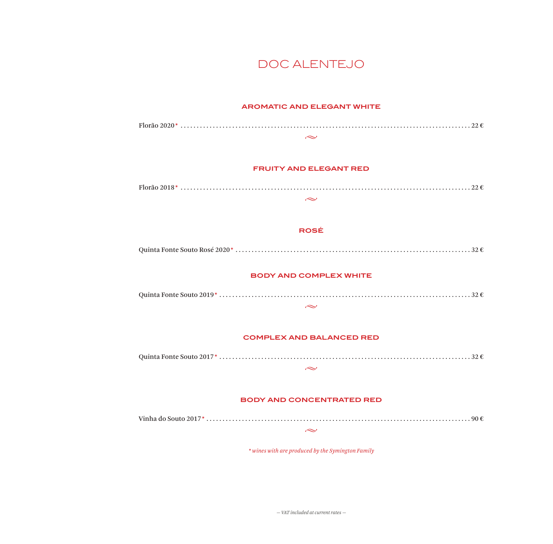## DOC ALENTEJO

#### **AROMATIC AND ELEGANT WHITE**



*— VAT included at current rates —*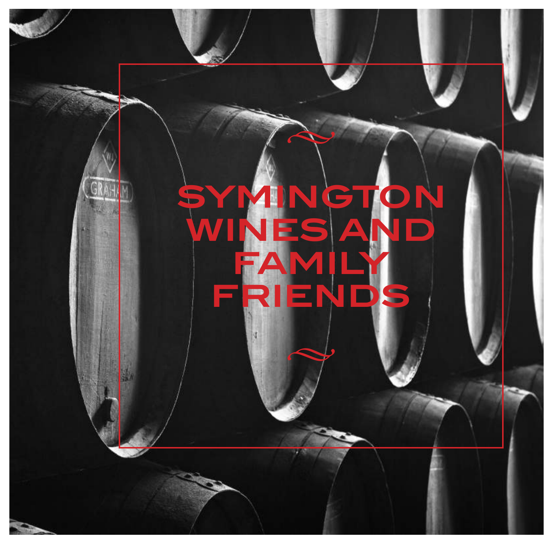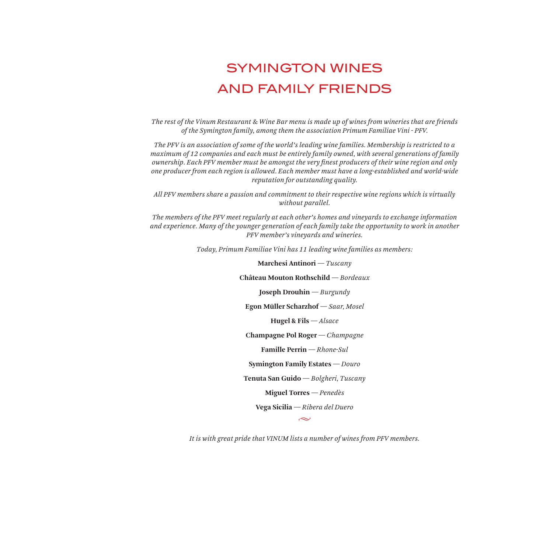# SYMINGTON WINES AND FAMILY FRIENDS

*The rest of the Vinum Restaurant & Wine Bar menu is made up of wines from wineries that are friends of the Symington family, among them the association Primum Familiae Vini - PFV.*

*The PFV is an association of some of the world's leading wine families. Membership is restricted to a maximum of 12 companies and each must be entirely family owned, with several generations of family ownership. Each PFV member must be amongst the very finest producers of their wine region and only one producer from each region is allowed. Each member must have a long-established and world-wide reputation for outstanding quality.*

*All PFV members share a passion and commitment to their respective wine regions which is virtually without parallel.* 

*The members of the PFV meet regularly at each other's homes and vineyards to exchange information and experience. Many of the younger generation of each family take the opportunity to work in another PFV member's vineyards and wineries.*

*Today, Primum Familiae Vini has 11 leading wine families as members:*

**Marchesi Antinori** *— Tuscany*

**Château Mouton Rothschild** *— Bordeaux* 

**Joseph Drouhin** *— Burgundy*

**Egon Müller Scharzhof** *— Saar, Mosel* 

**Hugel & Fils** *— Alsace*

**Champagne Pol Roger** *— Champagne*

**Famille Perrin** *— Rhone-Sul*

**Symington Family Estates** *— Douro*

**Tenuta San Guido** *— Bolgheri, Tuscany*

**Miguel Torres** *— Penedès* 

**Vega Sicilia** *— Ribera del Duero*

 $\sim$ 

*It is with great pride that VINUM lists a number of wines from PFV members.*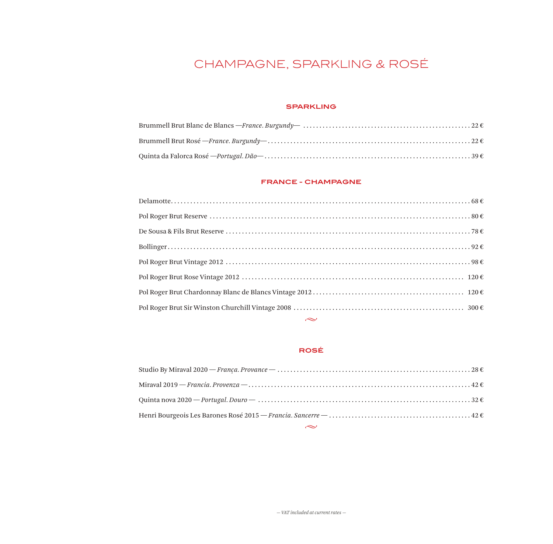# CHAMPAGNE, SPARKLING & ROSÉ

#### **SPARKLING**

#### **FRANCE - CHAMPAGNE**

| $\sim$ $\sim$ |
|---------------|

#### **ROSÉ**

| $\sim$ |
|--------|
|        |
|        |
|        |
|        |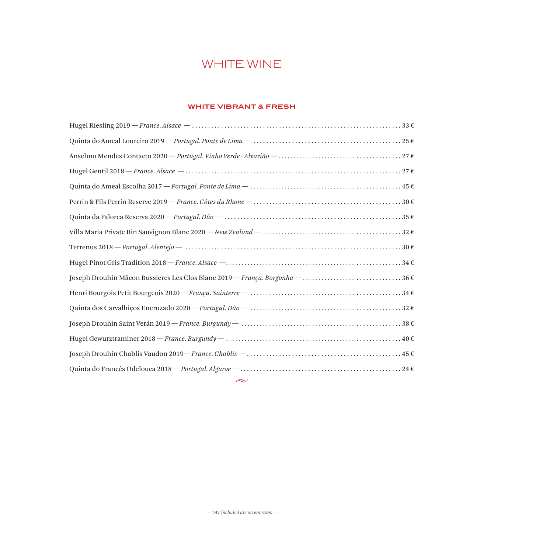# WHITE WINE

#### **WHITE VIBRANT & FRESH**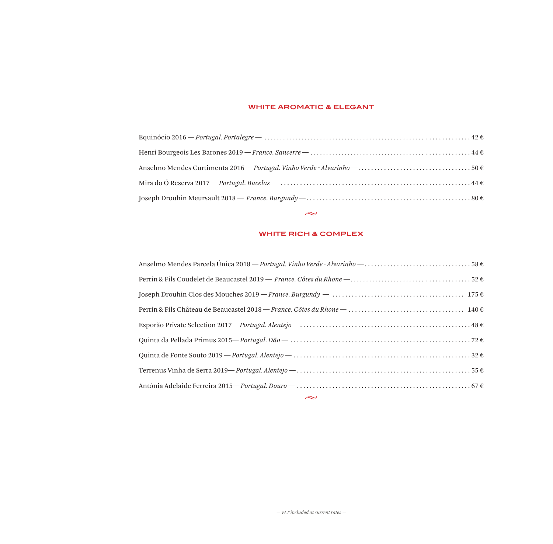#### **WHITE AROMATIC & ELEGANT**

## **WHITE RICH & COMPLEX**

 $\sim$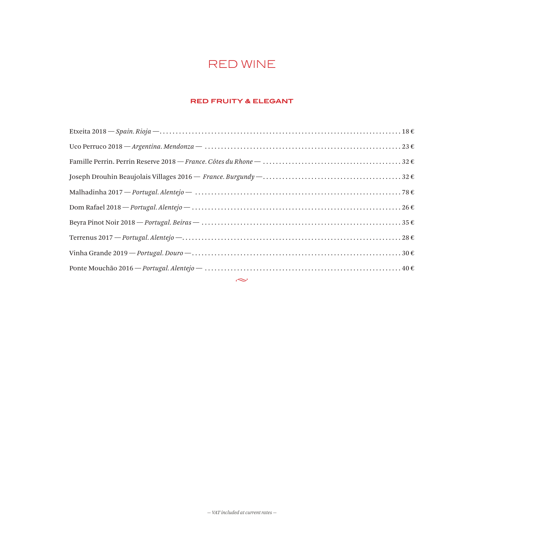# RED WINE

#### **RED FRUITY & ELEGANT**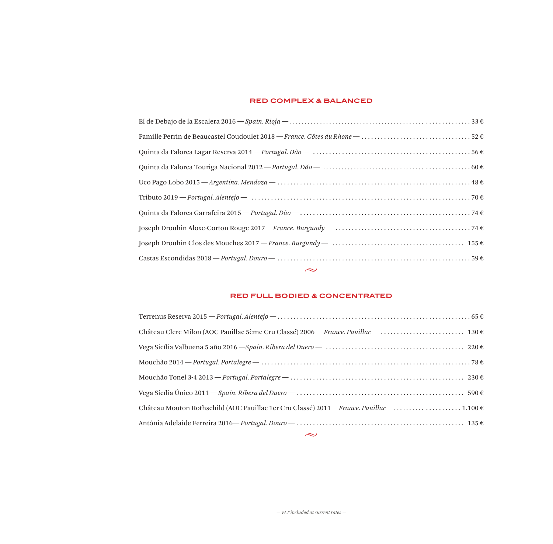#### **RED COMPLEX & BALANCED**

| $\sim$ |
|--------|
|        |
|        |
|        |
|        |
|        |
|        |
|        |
|        |
|        |
|        |

#### **RED FULL BODIED & CONCENTRATED**

| Château Mouton Rothschild (AOC Pauillac 1er Cru Classé) 2011—France. Pauillac —1.100 € |
|----------------------------------------------------------------------------------------|
|                                                                                        |
| $\sim$ $\sim$                                                                          |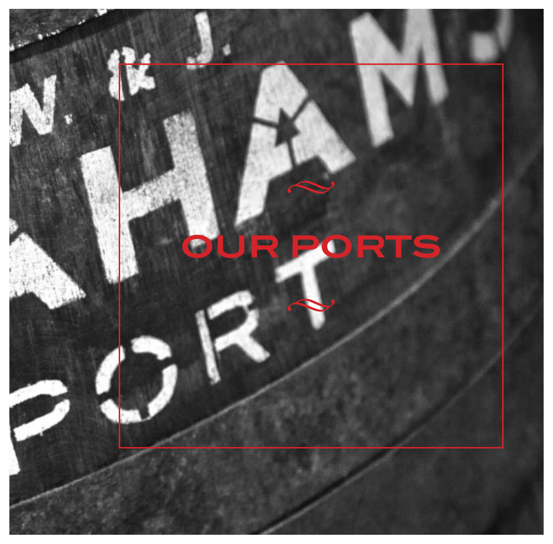# **OUR PORTS**

 $\blacktriangle$ 

 $\blacktriangle$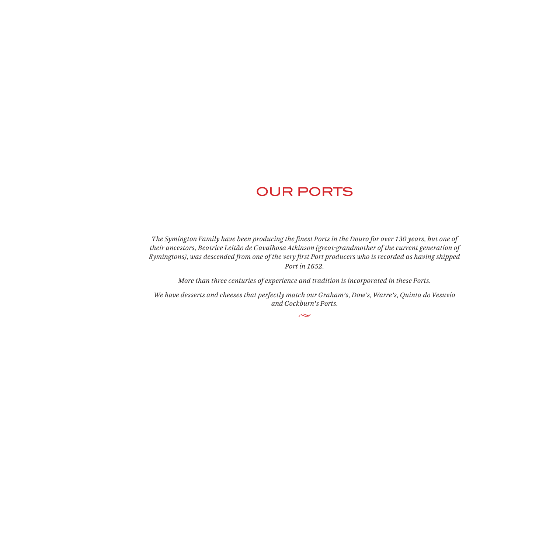# OUR PORTS

*The Symington Family have been producing the finest Ports in the Douro for over 130 years, but one of their ancestors, Beatrice Leitão de Cavalhosa Atkinson (great-grandmother of the current generation of Symingtons), was descended from one of the very first Port producers who is recorded as having shipped Port in 1652.* 

*More than three centuries of experience and tradition is incorporated in these Ports.*

*We have desserts and cheeses that perfectly match our Graham's, Dow's, Warre's, Quinta do Vesuvio and Cockburn's Ports.*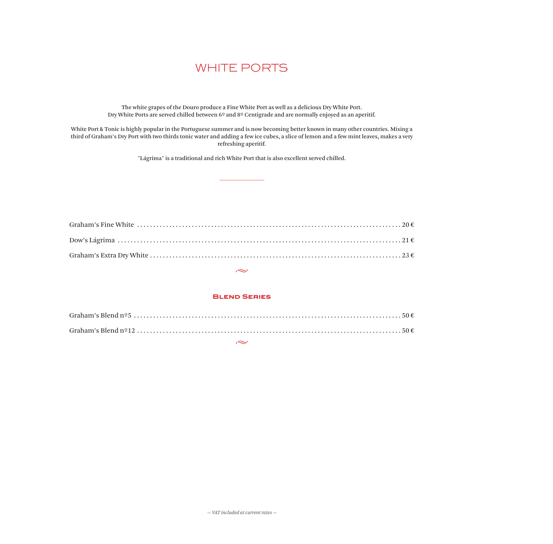## WHITE PORTS

The white grapes of the Douro produce a Fine White Port as well as a delicious Dry White Port. Dry White Ports are served chilled between 6º and 8º Centigrade and are normally enjoyed as an aperitif.

White Port & Tonic is highly popular in the Portuguese summer and is now becoming better known in many other countries. Mixing a third of Graham's Dry Port with two thirds tonic water and adding a few ice cubes, a slice of lemon and a few mint leaves, makes a very refreshing aperitif.

"Lágrima" is a traditional and rich White Port that is also excellent served chilled.

#### $\sim$

#### **Blend Series**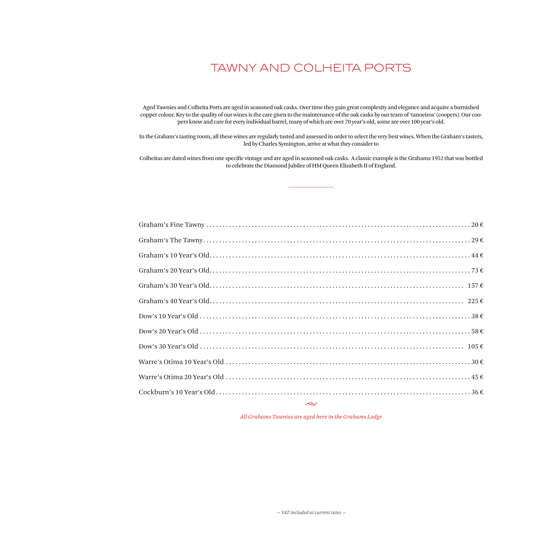# TAWNY AND COLHEITA PORTS

Aged Tawnies and Colheita Ports are aged in seasoned oak casks. Over time they gain great complexity and elegance and acquire a burnished copper colour. Key to the quality of our wines is the care given to the maintenance of the oak casks by our team of 'tanoeiros' (coopers). Our coopers know and care for every individual barrel, many of which are over 70 year's old, some are over 100 year's old.

In the Graham's tasting room, all these wines are regularly tasted and assessed in order to select the very best wines. When the Graham's tasters, led by Charles Symington, arrive at what they consider to

Colheitas are dated wines from one specific vintage and are aged in seasoned oak casks. A classic example is the Grahams 1952 that was bottled to celebrate the Diamond Jubilee of HM Queen Elizabeth II of England.

 $\sim$ 

*All Grahams Tawnies are aged here in the Grahams Lodge*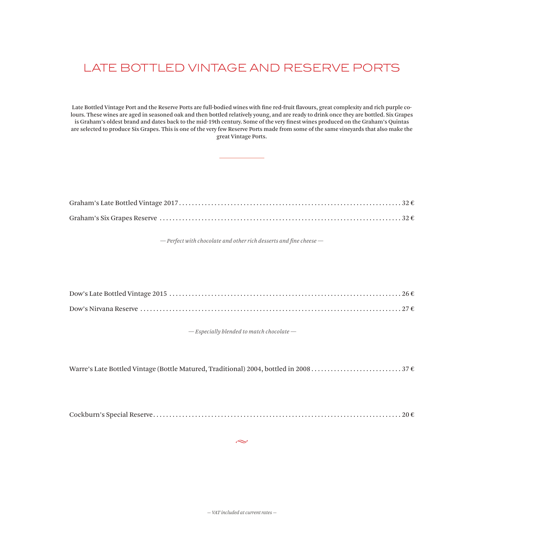# LATE BOTTLED VINTAGE AND RESERVE PORTS

Late Bottled Vintage Port and the Reserve Ports are full-bodied wines with fine red-fruit flavours, great complexity and rich purple colours. These wines are aged in seasoned oak and then bottled relatively young, and are ready to drink once they are bottled. Six Grapes is Graham's oldest brand and dates back to the mid-19th century. Some of the very finest wines produced on the Graham's Quintas are selected to produce Six Grapes. This is one of the very few Reserve Ports made from some of the same vineyards that also make the great Vintage Ports.

*— Perfect with chocolate and other rich desserts and fine cheese —*

 *— Especially blended to match chocolate —*

Warre's Late Bottled Vintage (Bottle Matured, Traditional) 2004, bottled in 2008 . . . . . . . . . . . . . . . . . . . . . . . . . . . 37 €

|--|

 $\sim$ 

*— VAT included at current rates —*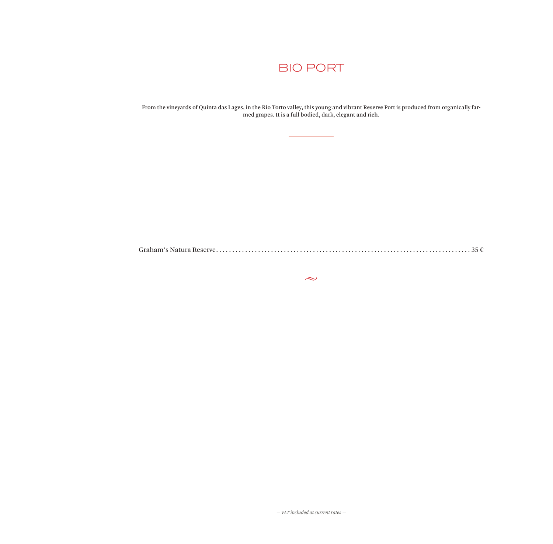

From the vineyards of Quinta das Lages, in the Rio Torto valley, this young and vibrant Reserve Port is produced from organically farmed grapes. It is a full bodied, dark, elegant and rich.

Graham's Natura Reserve . . . . . . . . . . . . . . . . . . . . . . . . . . . . . . . . . . . . . . . . . . . . . . . . . . . . . . . . . . . . . . . . . . . . . . . . . . . . . . . 35 €

 $\sim$ 

*— VAT included at current rates —*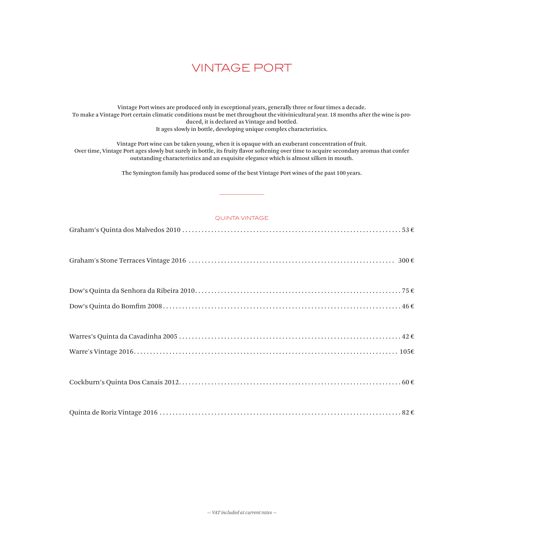# VINTAGE PORT

Vintage Port wines are produced only in exceptional years, generally three or four times a decade. To make a Vintage Port certain climatic conditions must be met throughout the vitivinicultural year. 18 months after the wine is produced, it is declared as Vintage and bottled. It ages slowly in bottle, developing unique complex characteristics.

Vintage Port wine can be taken young, when it is opaque with an exuberant concentration of fruit. Over time, Vintage Port ages slowly but surely in bottle, its fruity flavor softening over time to acquire secondary aromas that confer outstanding characteristics and an exquisite elegance which is almost silken in mouth.

The Symington family has produced some of the best Vintage Port wines of the past 100 years.

#### QUINTA VINTAGE

Graham's Stone Terraces Vintage 2016 . . . . . . . . . . . . . . . . . . . . . . . . . . . . . . . . . . . . . . . . . . . . . . . . . . . . . . . . . . . . . . . . 300 €

|--|

|--|--|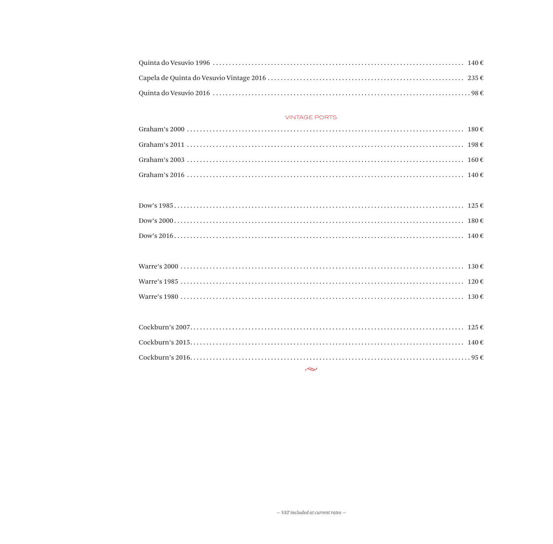#### **VINTAGE PORTS**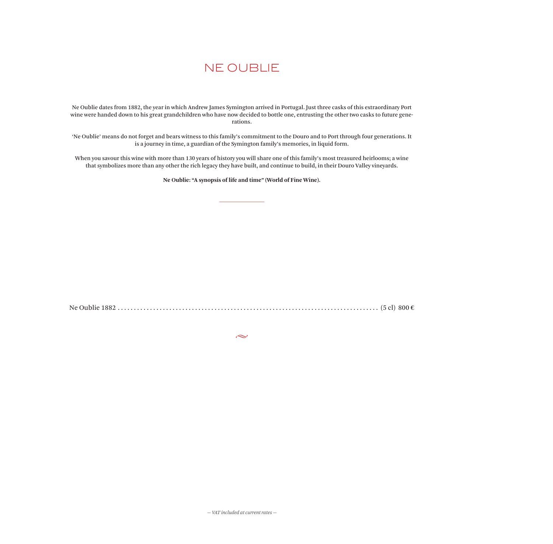# NE OUBLIE

Ne Oublie dates from 1882, the year in which Andrew James Symington arrived in Portugal. Just three casks of this extraordinary Port wine were handed down to his great grandchildren who have now decided to bottle one, entrusting the other two casks to future generations.

'Ne Oublie' means do not forget and bears witness to this family's commitment to the Douro and to Port through four generations. It is a journey in time, a guardian of the Symington family's memories, in liquid form.

When you savour this wine with more than 130 years of history you will share one of this family's most treasured heirlooms; a wine that symbolizes more than any other the rich legacy they have built, and continue to build, in their Douro Valley vineyards.

**Ne Oublie: "A synopsis of life and time" (World of Fine Wine).**

Ne Oublie 1882 . . . . . . . . . . . . . . . . . . . . . . . . . . . . . . . . . . . . . . . . . . . . . . . . . . . . . . . . . . . . . . . . . . . . . . . . . . . . . . . . . (5 cl) 800 €

بحہ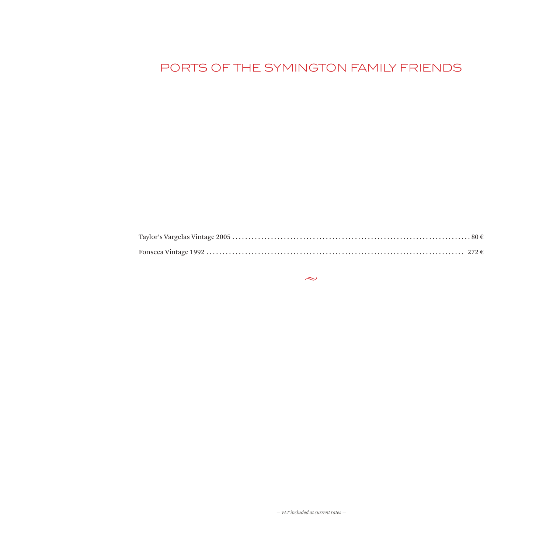# PORTS OF THE SYMINGTON FAMILY FRIENDS

 $\sim$ 

 $-$  VAT included at current rates  $-$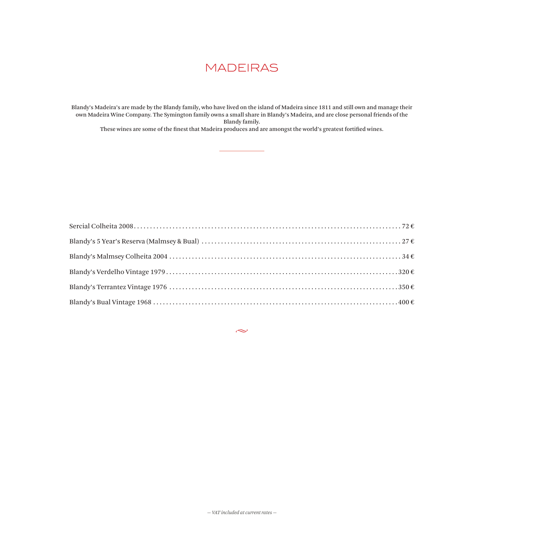# MADEIRAS

Blandy's Madeira's are made by the Blandy family, who have lived on the island of Madeira since 1811 and still own and manage their own Madeira Wine Company. The Symington family owns a small share in Blandy's Madeira, and are close personal friends of the Blandy family.

These wines are some of the finest that Madeira produces and are amongst the world's greatest fortified wines.